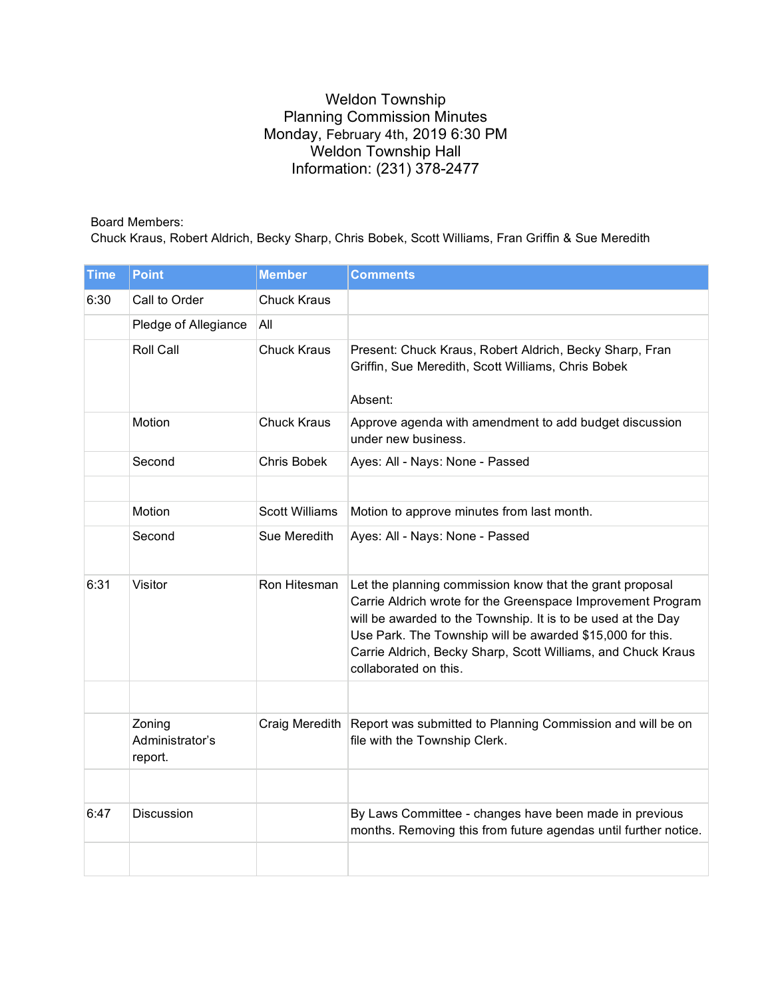## Weldon Township Planning Commission Minutes Monday, February 4th, 2019 6:30 PM Weldon Township Hall Information: (231) 378-2477

## Board Members:

Chuck Kraus, Robert Aldrich, Becky Sharp, Chris Bobek, Scott Williams, Fran Griffin & Sue Meredith

| <b>Time</b> | <b>Point</b>                         | <b>Member</b>         | <b>Comments</b>                                                                                                                                                                                                                                                                                                                               |
|-------------|--------------------------------------|-----------------------|-----------------------------------------------------------------------------------------------------------------------------------------------------------------------------------------------------------------------------------------------------------------------------------------------------------------------------------------------|
| 6:30        | Call to Order                        | <b>Chuck Kraus</b>    |                                                                                                                                                                                                                                                                                                                                               |
|             | Pledge of Allegiance                 | All                   |                                                                                                                                                                                                                                                                                                                                               |
|             | <b>Roll Call</b>                     | <b>Chuck Kraus</b>    | Present: Chuck Kraus, Robert Aldrich, Becky Sharp, Fran<br>Griffin, Sue Meredith, Scott Williams, Chris Bobek<br>Absent:                                                                                                                                                                                                                      |
|             | Motion                               | <b>Chuck Kraus</b>    | Approve agenda with amendment to add budget discussion<br>under new business.                                                                                                                                                                                                                                                                 |
|             | Second                               | <b>Chris Bobek</b>    | Ayes: All - Nays: None - Passed                                                                                                                                                                                                                                                                                                               |
|             |                                      |                       |                                                                                                                                                                                                                                                                                                                                               |
|             | Motion                               | <b>Scott Williams</b> | Motion to approve minutes from last month.                                                                                                                                                                                                                                                                                                    |
|             | Second                               | Sue Meredith          | Ayes: All - Nays: None - Passed                                                                                                                                                                                                                                                                                                               |
| 6:31        | Visitor                              | Ron Hitesman          | Let the planning commission know that the grant proposal<br>Carrie Aldrich wrote for the Greenspace Improvement Program<br>will be awarded to the Township. It is to be used at the Day<br>Use Park. The Township will be awarded \$15,000 for this.<br>Carrie Aldrich, Becky Sharp, Scott Williams, and Chuck Kraus<br>collaborated on this. |
|             |                                      |                       |                                                                                                                                                                                                                                                                                                                                               |
|             | Zoning<br>Administrator's<br>report. | Craig Meredith        | Report was submitted to Planning Commission and will be on<br>file with the Township Clerk.                                                                                                                                                                                                                                                   |
|             |                                      |                       |                                                                                                                                                                                                                                                                                                                                               |
| 6:47        | Discussion                           |                       | By Laws Committee - changes have been made in previous<br>months. Removing this from future agendas until further notice.                                                                                                                                                                                                                     |
|             |                                      |                       |                                                                                                                                                                                                                                                                                                                                               |